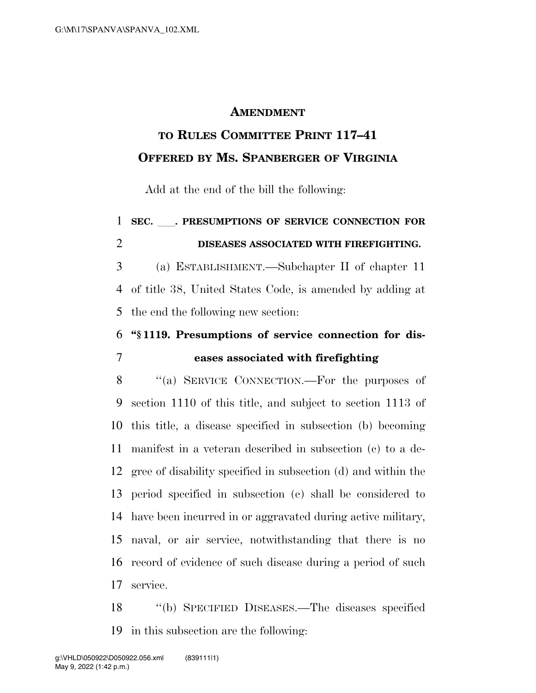## **AMENDMENT**

## **TO RULES COMMITTEE PRINT 117–41 OFFERED BY MS. SPANBERGER OF VIRGINIA**

Add at the end of the bill the following:

## **SEC.** ll**. PRESUMPTIONS OF SERVICE CONNECTION FOR DISEASES ASSOCIATED WITH FIREFIGHTING.**

 (a) ESTABLISHMENT.—Subchapter II of chapter 11 of title 38, United States Code, is amended by adding at the end the following new section:

## **''§ 1119. Presumptions of service connection for dis-eases associated with firefighting**

8 "(a) SERVICE CONNECTION.—For the purposes of section 1110 of this title, and subject to section 1113 of this title, a disease specified in subsection (b) becoming manifest in a veteran described in subsection (c) to a de- gree of disability specified in subsection (d) and within the period specified in subsection (e) shall be considered to have been incurred in or aggravated during active military, naval, or air service, notwithstanding that there is no record of evidence of such disease during a period of such service.

 ''(b) SPECIFIED DISEASES.—The diseases specified in this subsection are the following: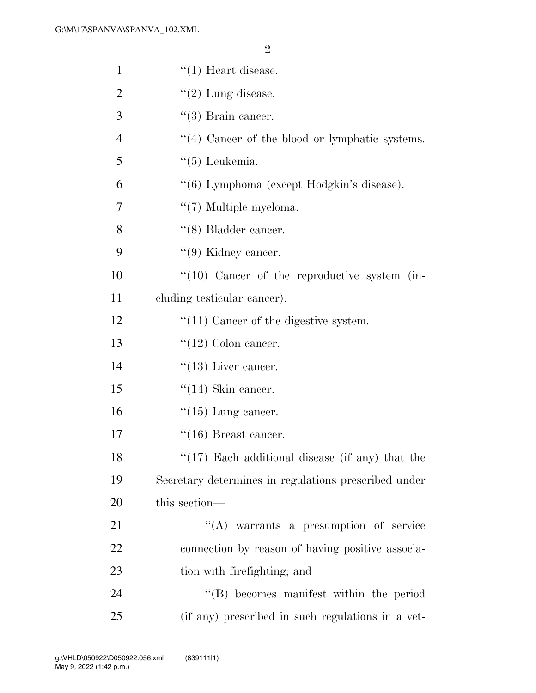| $\mathbf{1}$   | $``(1)$ Heart disease.                               |
|----------------|------------------------------------------------------|
| $\overline{2}$ | $\lq(2)$ Lung disease.                               |
| 3              | $\lq(3)$ Brain cancer.                               |
| $\overline{4}$ | $\lq(4)$ Cancer of the blood or lymphatic systems.   |
| 5              | $\lq(5)$ Leukemia.                                   |
| 6              | "(6) Lymphoma (except Hodgkin's disease).            |
| 7              | $\lq(7)$ Multiple myeloma.                           |
| 8              | $\lq\lq (8)$ Bladder cancer.                         |
| 9              | $\lq(9)$ Kidney cancer.                              |
| 10             | $\lq(10)$ Cancer of the reproductive system (in-     |
| 11             | eluding testicular cancer).                          |
| 12             | $"(11)$ Cancer of the digestive system.              |
| 13             | $\lq(12)$ Colon cancer.                              |
| 14             | $\lq(13)$ Liver cancer.                              |
| 15             | $``(14)$ Skin cancer.                                |
| 16             | $\lq(15)$ Lung cancer.                               |
| 17             | $``(16)$ Breast cancer.                              |
| 18             | $\lq(17)$ Each additional disease (if any) that the  |
| 19             | Secretary determines in regulations prescribed under |
| 20             | this section-                                        |
| 21             | $\lq\lq$ warrants a presumption of service           |
| 22             | connection by reason of having positive associa-     |
| 23             | tion with firefighting; and                          |
| 24             | $\lq\lq$ becomes manifest within the period          |
| 25             | (if any) prescribed in such regulations in a vet-    |